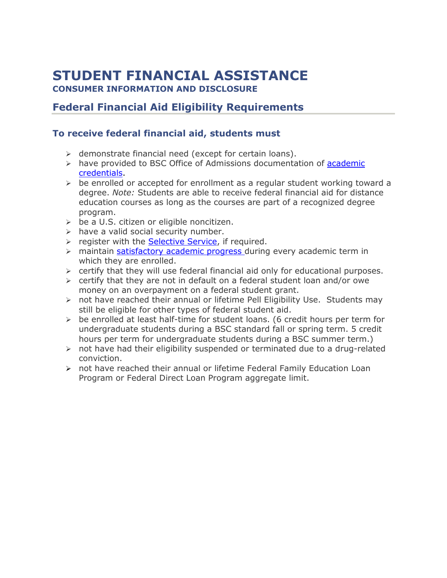# **STUDENT FINANCIAL ASSISTANCE**

**CONSUMER INFORMATION AND DISCLOSURE**

# **Federal Financial Aid Eligibility Requirements**

# **To receive federal financial aid, students must**

- $\triangleright$  demonstrate financial need (except for certain loans).
- $\triangleright$  have provided to BSC Office of Admissions documentation of [academic](https://bluefieldstate.edu/admissions/apply) [credentials.](https://bluefieldstate.edu/admissions/apply)
- $\triangleright$  be enrolled or accepted for enrollment as a regular student working toward a degree. *Note:* Students are able to receive federal financial aid for distance education courses as long as the courses are part of a recognized degree program.
- $\geq$  be a U.S. citizen or eligible noncitizen.
- $\triangleright$  have a valid social security number.
- $\triangleright$  register with the [Selective Service,](https://www.sss.gov/) if required.
- $\triangleright$  maintain [satisfactory academic progress](https://bluefieldstate.edu/tuition/financial-aid) during every academic term in which they are enrolled.
- $\triangleright$  certify that they will use federal financial aid only for educational purposes.
- $\triangleright$  certify that they are not in default on a federal student loan and/or owe money on an overpayment on a federal student grant.
- $\triangleright$  not have reached their annual or lifetime Pell Eligibility Use. Students may still be eligible for other types of federal student aid.
- $\triangleright$  be enrolled at least half-time for student loans. (6 credit hours per term for undergraduate students during a BSC standard fall or spring term. 5 credit hours per term for undergraduate students during a BSC summer term.)
- $\triangleright$  not have had their eligibility suspended or terminated due to a drug-related conviction.
- not have reached their annual or lifetime Federal Family Education Loan Program or Federal Direct Loan Program aggregate limit.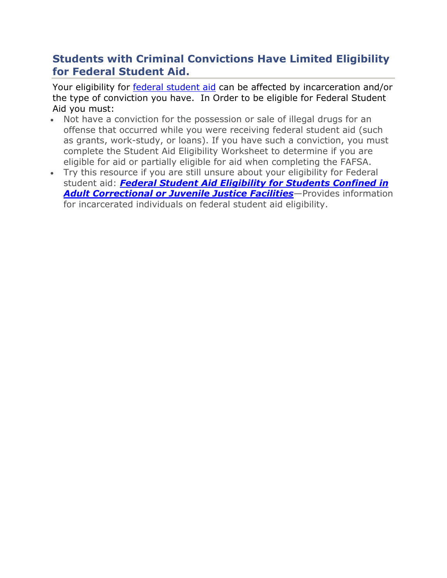# **Students with Criminal Convictions Have Limited Eligibility for Federal Student Aid.**

Your eligibility for federal [student](https://studentaid.ed.gov/sa/types) aid can be affected by incarceration and/or the type of conviction you have. In Order to be eligible for Federal Student Aid you must:

- Not have a conviction for the possession or sale of illegal drugs for an offense that occurred while you were receiving federal student aid (such as grants, work-study, or loans). If you have such a conviction, you must complete the Student Aid Eligibility Worksheet to determine if you are eligible for aid or partially eligible for aid when completing the FAFSA.
- Try this resource if you are still unsure about your eligibility for Federal student aid: *[Federal Student Aid Eligibility for Students Confined in](https://studentaid.ed.gov/sa/sites/default/files/aid-info-for-incarcerated-individuals.pdf)  [Adult Correctional or Juvenile Justice Facilities](https://studentaid.ed.gov/sa/sites/default/files/aid-info-for-incarcerated-individuals.pdf)*—Provides information for incarcerated individuals on federal student aid eligibility.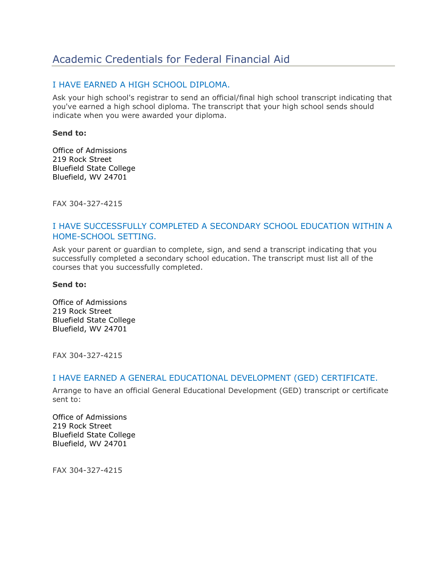# Academic Credentials for Federal Financial Aid

#### I HAVE EARNED A HIGH SCHOOL DIPLOMA.

Ask your high school's registrar to send an official/final high school transcript indicating that you've earned a high school diploma. The transcript that your high school sends should indicate when you were awarded your diploma.

#### **Send to:**

Office of Admissions 219 Rock Street Bluefield State College Bluefield, WV 24701

FAX 304-327-4215

#### I HAVE SUCCESSFULLY COMPLETED A SECONDARY SCHOOL EDUCATION WITHIN A HOME-SCHOOL SETTING.

Ask your parent or guardian to complete, sign, and send a transcript indicating that you successfully completed a secondary school education. The transcript must list all of the courses that you successfully completed.

#### **Send to:**

Office of Admissions 219 Rock Street Bluefield State College Bluefield, WV 24701

FAX 304-327-4215

#### I HAVE EARNED A GENERAL EDUCATIONAL DEVELOPMENT (GED) CERTIFICATE.

Arrange to have an official General Educational Development (GED) transcript or certificate sent to:

Office of Admissions 219 Rock Street Bluefield State College Bluefield, WV 24701

FAX 304-327-4215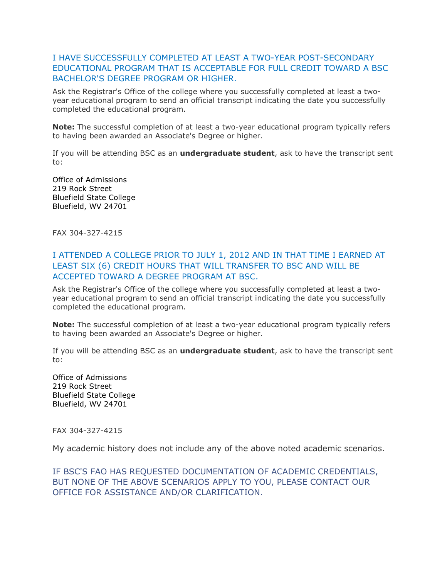## I HAVE SUCCESSFULLY COMPLETED AT LEAST A TWO-YEAR POST-SECONDARY EDUCATIONAL PROGRAM THAT IS ACCEPTABLE FOR FULL CREDIT TOWARD A BSC BACHELOR'S DEGREE PROGRAM OR HIGHER.

Ask the Registrar's Office of the college where you successfully completed at least a twoyear educational program to send an official transcript indicating the date you successfully completed the educational program.

**Note:** The successful completion of at least a two-year educational program typically refers to having been awarded an Associate's Degree or higher.

If you will be attending BSC as an **undergraduate student**, ask to have the transcript sent to:

Office of Admissions 219 Rock Street Bluefield State College Bluefield, WV 24701

FAX 304-327-4215

#### I ATTENDED A COLLEGE PRIOR TO JULY 1, 2012 AND IN THAT TIME I EARNED AT LEAST SIX (6) CREDIT HOURS THAT WILL TRANSFER TO BSC AND WILL BE ACCEPTED TOWARD A DEGREE PROGRAM AT BSC.

Ask the Registrar's Office of the college where you successfully completed at least a twoyear educational program to send an official transcript indicating the date you successfully completed the educational program.

**Note:** The successful completion of at least a two-year educational program typically refers to having been awarded an Associate's Degree or higher.

If you will be attending BSC as an **undergraduate student**, ask to have the transcript sent to:

Office of Admissions 219 Rock Street Bluefield State College Bluefield, WV 24701

FAX 304-327-4215

My academic history does not include any of the above noted academic scenarios.

IF BSC'S FAO HAS REQUESTED DOCUMENTATION OF ACADEMIC CREDENTIALS, BUT NONE OF THE ABOVE SCENARIOS APPLY TO YOU, PLEASE CONTACT OUR OFFICE FOR ASSISTANCE AND/OR CLARIFICATION.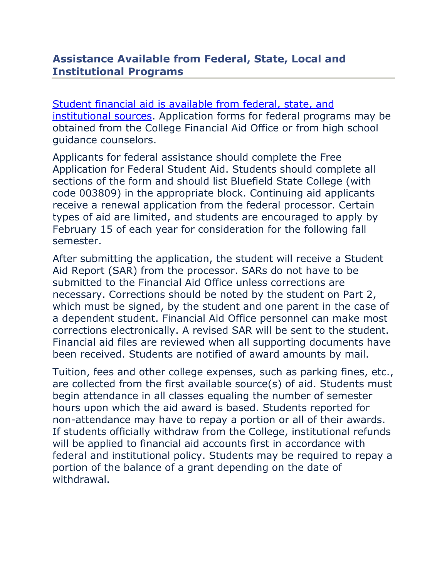# **Assistance Available from Federal, State, Local and Institutional Programs**

[Student financial aid is available from federal, state, and](https://catalog.bluefieldstate.edu/content.php?catoid=2&navoid=70)  [institutional sources.](https://catalog.bluefieldstate.edu/content.php?catoid=2&navoid=70) Application forms for federal programs may be obtained from the College Financial Aid Office or from high school guidance counselors.

Applicants for federal assistance should complete the Free Application for Federal Student Aid. Students should complete all sections of the form and should list Bluefield State College (with code 003809) in the appropriate block. Continuing aid applicants receive a renewal application from the federal processor. Certain types of aid are limited, and students are encouraged to apply by February 15 of each year for consideration for the following fall semester.

After submitting the application, the student will receive a Student Aid Report (SAR) from the processor. SARs do not have to be submitted to the Financial Aid Office unless corrections are necessary. Corrections should be noted by the student on Part 2, which must be signed, by the student and one parent in the case of a dependent student. Financial Aid Office personnel can make most corrections electronically. A revised SAR will be sent to the student. Financial aid files are reviewed when all supporting documents have been received. Students are notified of award amounts by mail.

Tuition, fees and other college expenses, such as parking fines, etc., are collected from the first available source(s) of aid. Students must begin attendance in all classes equaling the number of semester hours upon which the aid award is based. Students reported for non-attendance may have to repay a portion or all of their awards. If students officially withdraw from the College, institutional refunds will be applied to financial aid accounts first in accordance with federal and institutional policy. Students may be required to repay a portion of the balance of a grant depending on the date of withdrawal.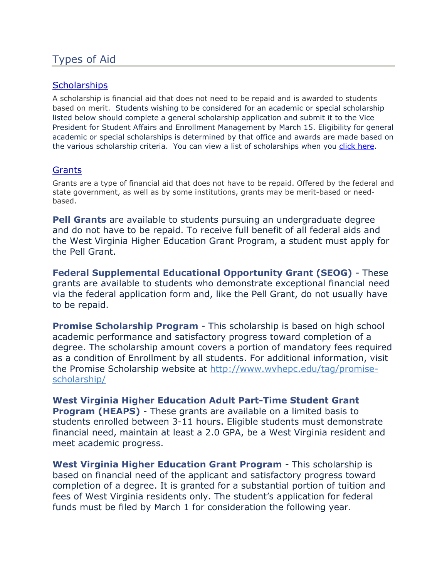# Types of Aid

## **[Scholarships](https://bluefieldstate.edu/tuition/scholarships)**

A scholarship is financial aid that does not need to be repaid and is awarded to students based on merit. Students wishing to be considered for an academic or special scholarship listed below should complete a general scholarship application and submit it to the Vice President for Student Affairs and Enrollment Management by March 15. Eligibility for general academic or special scholarships is determined by that office and awards are made based on the various scholarship criteria. You can view a list of scholarships when you [click here.](https://catalog.bluefieldstate.edu/content.php?catoid=2&navoid=70)

## **[Grants](https://catalog.bluefieldstate.edu/content.php?catoid=2&navoid=70)**

Grants are a type of financial aid that does not have to be repaid. Offered by the federal and state government, as well as by some institutions, grants may be merit-based or needbased.

**Pell Grants** are available to students pursuing an undergraduate degree and do not have to be repaid. To receive full benefit of all federal aids and the West Virginia Higher Education Grant Program, a student must apply for the Pell Grant.

**Federal Supplemental Educational Opportunity Grant (SEOG)** - These grants are available to students who demonstrate exceptional financial need via the federal application form and, like the Pell Grant, do not usually have to be repaid.

**Promise Scholarship Program** - This scholarship is based on high school academic performance and satisfactory progress toward completion of a degree. The scholarship amount covers a portion of mandatory fees required as a condition of Enrollment by all students. For additional information, visit the Promise Scholarship website at [http://www.wvhepc.edu/tag/promise](http://www.wvhepc.edu/tag/promise-scholarship/)[scholarship/](http://www.wvhepc.edu/tag/promise-scholarship/)

**West Virginia Higher Education Adult Part-Time Student Grant Program (HEAPS)** - These grants are available on a limited basis to students enrolled between 3-11 hours. Eligible students must demonstrate financial need, maintain at least a 2.0 GPA, be a West Virginia resident and meet academic progress.

**West Virginia Higher Education Grant Program** - This scholarship is based on financial need of the applicant and satisfactory progress toward completion of a degree. It is granted for a substantial portion of tuition and fees of West Virginia residents only. The student's application for federal funds must be filed by March 1 for consideration the following year.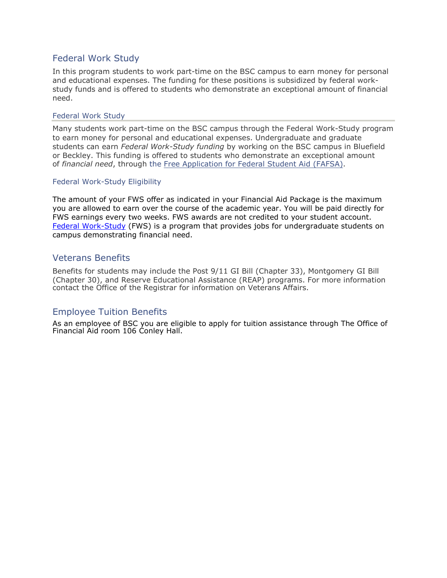## Federal Work Study

In this program students to work part-time on the BSC campus to earn money for personal and educational expenses. The funding for these positions is subsidized by federal workstudy funds and is offered to students who demonstrate an exceptional amount of financial need.

#### Federal Work Study

Many students work part-time on the BSC campus through the Federal Work-Study program to earn money for personal and educational expenses. Undergraduate and graduate students can earn *Federal Work-Study funding* by working on the BSC campus in Bluefield or Beckley. This funding is offered to students who demonstrate an exceptional amount of *financial need*, through the [Free Application for Federal Student Aid \(FAFSA\).](http://www.fafsa.ed.gov/)

#### Federal Work-Study Eligibility

The amount of your FWS offer as indicated in your Financial Aid Package is the maximum you are allowed to earn over the course of the academic year. You will be paid directly for FWS earnings every two weeks. FWS awards are not credited to your student account. [Federal Work-Study](http://www.marshall.edu/sfa/download/2554/) (FWS) is a program that provides jobs for undergraduate students on campus demonstrating financial need.

#### Veterans Benefits

Benefits for students may include the Post 9/11 GI Bill (Chapter 33), Montgomery GI Bill (Chapter 30), and Reserve Educational Assistance (REAP) programs. For more information contact the Office of the Registrar for information on Veterans Affairs.

## Employee Tuition Benefits

As an employee of BSC you are eligible to apply for tuition assistance through The Office of Financial Aid room 106 Conley Hall.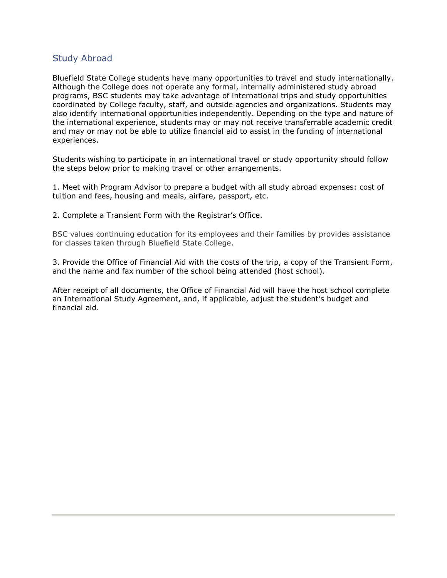#### Study Abroad

Bluefield State College students have many opportunities to travel and study internationally. Although the College does not operate any formal, internally administered study abroad programs, BSC students may take advantage of international trips and study opportunities coordinated by College faculty, staff, and outside agencies and organizations. Students may also identify international opportunities independently. Depending on the type and nature of the international experience, students may or may not receive transferrable academic credit and may or may not be able to utilize financial aid to assist in the funding of international experiences.

Students wishing to participate in an international travel or study opportunity should follow the steps below prior to making travel or other arrangements.

1. Meet with Program Advisor to prepare a budget with all study abroad expenses: cost of tuition and fees, housing and meals, airfare, passport, etc.

2. Complete a Transient Form with the Registrar's Office.

BSC values continuing education for its employees and their families by provides assistance for classes taken through Bluefield State College.

3. Provide the Office of Financial Aid with the costs of the trip, a copy of the Transient Form, and the name and fax number of the school being attended (host school).

After receipt of all documents, the Office of Financial Aid will have the host school complete an International Study Agreement, and, if applicable, adjust the student's budget and financial aid.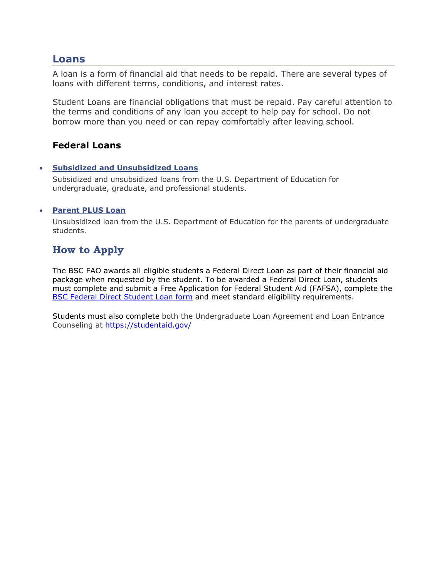## **Loans**

A loan is a form of financial aid that needs to be repaid. There are several types of loans with different terms, conditions, and interest rates.

Student Loans are financial obligations that must be repaid. Pay careful attention to the terms and conditions of any loan you accept to help pay for school. Do not borrow more than you need or can repay comfortably after leaving school.

## **Federal Loans**

#### • **Subsidized and Unsubsidized Loans**

Subsidized and unsubsidized loans from the U.S. Department of Education for undergraduate, graduate, and professional students.

#### • **Parent PLUS Loan**

Unsubsidized loan from the U.S. Department of Education for the parents of undergraduate students.

# **How to Apply**

The BSC FAO awards all eligible students a Federal Direct Loan as part of their financial aid package when requested by the student. To be awarded a Federal Direct Loan, students must complete and submit a Free Application for Federal Student Aid (FAFSA), complete the **[BSC Federal Direct Student Loan form](https://bluefieldstate.edu/tuition/financial-aid) and meet standard eligibility requirements.** 

Students must also complete both the Undergraduate Loan Agreement and Loan Entrance Counseling at [https://studentai](https://www.studentloans.gov/)[d.gov/](https://studentaid.gov/)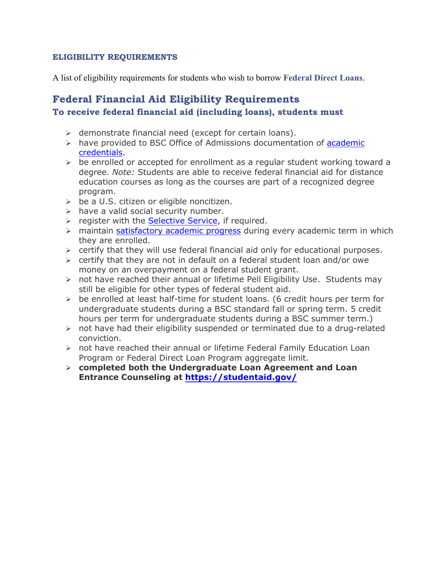#### **ELIGIBILITY REQUIREMENTS**

A list of eligibility requirements for students who wish to borrow **Federal Direct Loans**.

# **Federal Financial Aid Eligibility Requirements To receive federal financial aid (including loans), students must**

- $\triangleright$  demonstrate financial need (except for certain loans).
- $\triangleright$  have provided to BSC Office of Admissions documentation of [academic](https://bluefieldstate.edu/admissions/apply) [credentials.](https://bluefieldstate.edu/admissions/apply)
- $\triangleright$  be enrolled or accepted for enrollment as a regular student working toward a degree. *Note:* Students are able to receive federal financial aid for distance education courses as long as the courses are part of a recognized degree program.
- $\geq$  be a U.S. citizen or eligible noncitizen.
- $\triangleright$  have a valid social security number.
- $\triangleright$  register with the [Selective Service,](https://www.sss.gov/) if required.
- > maintain satisfactory [academic progress](https://bluefieldstate.edu/tuition/financial-aid) during every academic term in which they are enrolled.
- $\triangleright$  certify that they will use federal financial aid only for educational purposes.
- $\triangleright$  certify that they are not in default on a federal student loan and/or owe money on an overpayment on a federal student grant.
- $\triangleright$  not have reached their annual or lifetime Pell Eligibility Use. Students may still be eligible for other types of federal student aid.
- $\triangleright$  be enrolled at least half-time for student loans. (6 credit hours per term for undergraduate students during a BSC standard fall or spring term. 5 credit hours per term for undergraduate students during a BSC summer term.)
- $\triangleright$  not have had their eligibility suspended or terminated due to a drug-related conviction.
- $\triangleright$  not have reached their annual or lifetime Federal Family Education Loan Program or Federal Direct Loan Program aggregate limit.
- **completed both the Undergraduate Loan Agreement and Loan Entrance Counseling at [https://studenta](https://www.studentloans.gov/)[id.gov/](https://studentaid.gov/)**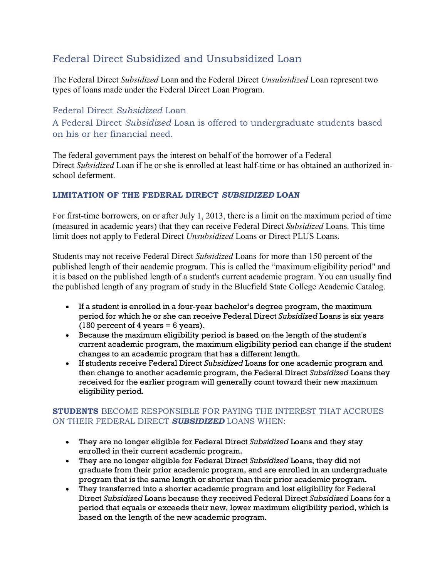# Federal Direct Subsidized and Unsubsidized Loan

The Federal Direct *Subsidized* Loan and the Federal Direct *Unsubsidized* Loan represent two types of loans made under the Federal Direct Loan Program.

Federal Direct *Subsidized* Loan A Federal Direct *Subsidized* Loan is offered to undergraduate students based on his or her financial need.

The federal government pays the interest on behalf of the borrower of a Federal Direct *Subsidized* Loan if he or she is enrolled at least half-time or has obtained an authorized inschool deferment.

#### **LIMITATION OF THE FEDERAL DIRECT** *SUBSIDIZED* **LOAN**

For first-time borrowers, on or after July 1, 2013, there is a limit on the maximum period of time (measured in academic years) that they can receive Federal Direct *Subsidized* Loans. This time limit does not apply to Federal Direct *Unsubsidized* Loans or Direct PLUS Loans.

Students may not receive Federal Direct *Subsidized* Loans for more than 150 percent of the published length of their academic program. This is called the "maximum eligibility period" and it is based on the published length of a student's current academic program. You can usually find the published length of any program of study in the Bluefield State College Academic Catalog.

- If a student is enrolled in a four-year bachelor's degree program, the maximum period for which he or she can receive Federal Direct *Subsidized* Loans is six years (150 percent of 4 years  $= 6$  years).
- Because the maximum eligibility period is based on the length of the student's current academic program, the maximum eligibility period can change if the student changes to an academic program that has a different length.
- If students receive Federal Direct *Subsidized* Loans for one academic program and then change to another academic program, the Federal Direct *Subsidized* Loans they received for the earlier program will generally count toward their new maximum eligibility period.

## **STUDENTS** BECOME RESPONSIBLE FOR PAYING THE INTEREST THAT ACCRUES ON THEIR FEDERAL DIRECT *SUBSIDIZED* LOANS WHEN:

- They are no longer eligible for Federal Direct *Subsidized* Loans and they stay enrolled in their current academic program.
- They are no longer eligible for Federal Direct *Subsidized* Loans, they did not graduate from their prior academic program, and are enrolled in an undergraduate program that is the same length or shorter than their prior academic program.
- They transferred into a shorter academic program and lost eligibility for Federal Direct *Subsidized* Loans because they received Federal Direct *Subsidized* Loans for a period that equals or exceeds their new, lower maximum eligibility period, which is based on the length of the new academic program.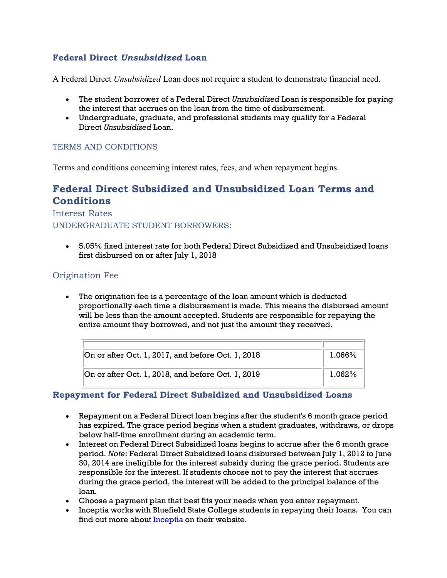## **Federal Direct** *Unsubsidized* **Loan**

A Federal Direct *Unsubsidized* Loan does not require a student to demonstrate financial need.

- The student borrower of a Federal Direct *Unsubsidized* Loan is responsible for paying the interest that accrues on the loan from the time of disbursement.
- Undergraduate, graduate, and professional students may qualify for a Federal Direct *Unsubsidized* Loan.

## TERMS AND CONDITIONS

Terms and conditions concerning interest rates, fees, and when repayment begins.

# **Federal Direct Subsidized and Unsubsidized Loan Terms and Conditions**

#### Interest Rates

UNDERGRADUATE STUDENT BORROWERS:

• 5.05% fixed interest rate for both Federal Direct Subsidized and Unsubsidized loans first disbursed on or after July 1, 2018

## Origination Fee

• The origination fee is a percentage of the loan amount which is deducted proportionally each time a disbursement is made. This means the disbursed amount will be less than the amount accepted. Students are responsible for repaying the entire amount they borrowed, and not just the amount they received.

| $\vert$ On or after Oct. 1, 2017, and before Oct. 1, 2018 | 1.066%    |
|-----------------------------------------------------------|-----------|
| $\vert$ On or after Oct. 1, 2018, and before Oct. 1, 2019 | $1.062\%$ |

## **Repayment for Federal Direct Subsidized and Unsubsidized Loans**

- Repayment on a Federal Direct loan begins after the student's 6 month grace period has expired. The grace period begins when a student graduates, withdraws, or drops below half-time enrollment during an academic term.
- Interest on Federal Direct Subsidized loans begins to accrue after the 6 month grace period. *Note*: Federal Direct Subsidized loans disbursed between July 1, 2012 to June 30, 2014 are ineligible for the interest subsidy during the grace period. Students are responsible for the interest. If students choose not to pay the interest that accrues during the grace period, the interest will be added to the principal balance of the loan.
- Choose a payment plan that best fits your needs when you enter repayment.
- Inceptia works with Bluefield State College students in repaying their loans. You can find out more about [Inceptia](https://www.inceptia.org/) on their website.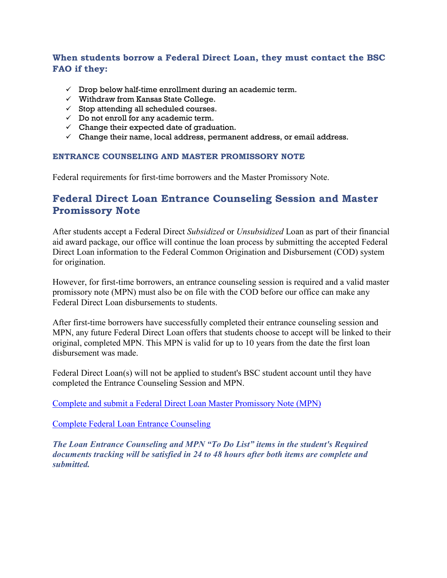## **When students borrow a Federal Direct Loan, they must contact the BSC FAO if they:**

- $\checkmark$  Drop below half-time enrollment during an academic term.
- $\checkmark$  Withdraw from Kansas State College.
- $\checkmark$  Stop attending all scheduled courses.
- $\checkmark$  Do not enroll for any academic term.
- $\checkmark$  Change their expected date of graduation.
- $\checkmark$  Change their name, local address, permanent address, or email address.

#### **ENTRANCE COUNSELING AND MASTER PROMISSORY NOTE**

Federal requirements for first-time borrowers and the Master Promissory Note.

# **Federal Direct Loan Entrance Counseling Session and Master Promissory Note**

After students accept a Federal Direct *Subsidized* or *Unsubsidized* Loan as part of their financial aid award package, our office will continue the loan process by submitting the accepted Federal Direct Loan information to the Federal Common Origination and Disbursement (COD) system for origination.

However, for first-time borrowers, an entrance counseling session is required and a valid master promissory note (MPN) must also be on file with the COD before our office can make any Federal Direct Loan disbursements to students.

After first-time borrowers have successfully completed their entrance counseling session and MPN, any future Federal Direct Loan offers that students choose to accept will be linked to their original, completed MPN. This MPN is valid for up to 10 years from the date the first loan disbursement was made.

Federal Direct Loan(s) will not be applied to student's BSC student account until they have completed the Entrance Counseling Session and MPN.

[Complete and submit a Federal Direct Loan Master Promissory Note \(MPN\)](https://www.studentloans.gov/)

[Complete Federal Loan Entrance Counseling](https://www.studentloans.gov/)

*The Loan Entrance Counseling and MPN "To Do List" items in the student's Required documents tracking will be satisfied in 24 to 48 hours after both items are complete and submitted.*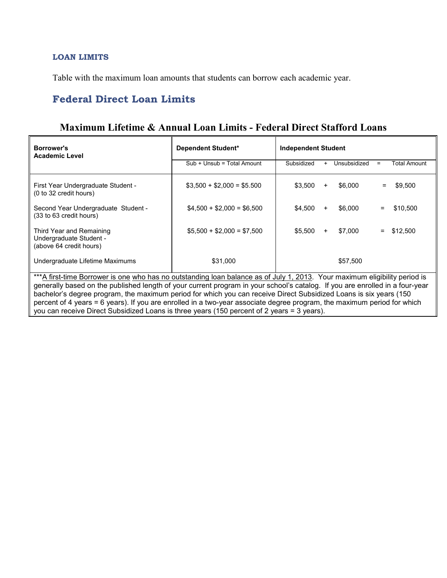#### **LOAN LIMITS**

Table with the maximum loan amounts that students can borrow each academic year.

# **Federal Direct Loan Limits**

| <b>Borrower's</b><br><b>Academic Level</b>                                                                                   | Dependent Student*         | <b>Independent Student</b> |              |     |              |  |
|------------------------------------------------------------------------------------------------------------------------------|----------------------------|----------------------------|--------------|-----|--------------|--|
|                                                                                                                              | Sub + Unsub = Total Amount | Subsidized<br>$+$          | Unsubsidized | $=$ | Total Amount |  |
| First Year Undergraduate Student -<br>(0 to 32 credit hours)                                                                 | $$3.500 + $2.000 = $5.500$ | \$3.500<br>$\ddot{}$       | \$6,000      | $=$ | \$9.500      |  |
| Second Year Undergraduate Student -<br>(33 to 63 credit hours)                                                               | $$4,500 + $2,000 = $6,500$ | \$4.500<br>+               | \$6,000      | $=$ | \$10,500     |  |
| Third Year and Remaining<br>Undergraduate Student -<br>(above 64 credit hours)                                               | $$5,500 + $2,000 = $7,500$ | \$5.500<br>$\ddot{}$       | \$7,000      | $=$ | \$12,500     |  |
| Undergraduate Lifetime Maximums                                                                                              | \$31,000                   |                            | \$57,500     |     |              |  |
| ***A first-time Borrower is one who has no outstanding loan balance as of July 1, 2013. Your maximum eligibility period is   |                            |                            |              |     |              |  |
| penerally based on the published length of your current program in your school's cataloge If you are enrolled in a four-year |                            |                            |              |     |              |  |

# **Maximum Lifetime & Annual Loan Limits - Federal Direct Stafford Loans**

generally based on the published length of your current program in your school's catalog. If you are enrolled in a four-year bachelor's degree program, the maximum period for which you can receive Direct Subsidized Loans is six years (150 percent of 4 years = 6 years). If you are enrolled in a two-year associate degree program, the maximum period for which you can receive Direct Subsidized Loans is three years (150 percent of 2 years = 3 years).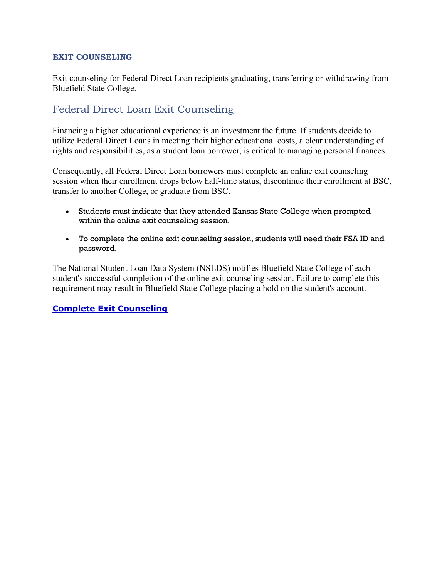#### **EXIT COUNSELING**

Exit counseling for Federal Direct Loan recipients graduating, transferring or withdrawing from Bluefield State College.

# Federal Direct Loan Exit Counseling

Financing a higher educational experience is an investment the future. If students decide to utilize Federal Direct Loans in meeting their higher educational costs, a clear understanding of rights and responsibilities, as a student loan borrower, is critical to managing personal finances.

Consequently, all Federal Direct Loan borrowers must complete an online exit counseling session when their enrollment drops below half-time status, discontinue their enrollment at BSC, transfer to another College, or graduate from BSC.

- Students must indicate that they attended Kansas State College when prompted within the online exit counseling session.
- To complete the online exit counseling session, students will need their FSA ID and password.

The National Student Loan Data System (NSLDS) notifies Bluefield State College of each student's successful completion of the online exit counseling session. Failure to complete this requirement may result in Bluefield State College placing a hold on the student's account.

## **[Complete Exit Counseling](https://www.studentloans.gov/)**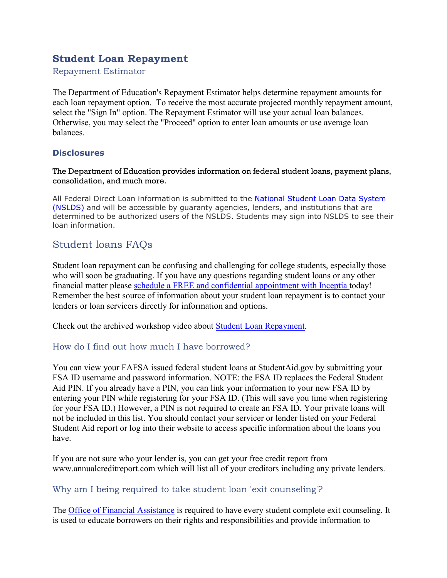# **Student Loan Repayment**

Repayment Estimator

The Department of Education's Repayment Estimator helps determine repayment amounts for each loan repayment option. To receive the most accurate projected monthly repayment amount, select the "Sign In" option. The Repayment Estimator will use your actual loan balances. Otherwise, you may select the "Proceed" option to enter loan amounts or use average loan balances.

## **Disclosures**

#### The Department of Education provides information on federal student loans, payment plans, consolidation, and much more.

All Federal Direct Loan information is submitted to the National [Student Loan Data System](https://nslds.ed.gov/nslds/nslds_SA/)  [\(NSLDS\)](https://nslds.ed.gov/nslds/nslds_SA/) and will be accessible by guaranty agencies, lenders, and institutions that are determined to be authorized users of the NSLDS. Students may sign into NSLDS to see their loan information.

# Student loans FAQs

Student loan repayment can be confusing and challenging for college students, especially those who will soon be graduating. If you have any questions regarding student loans or any other financial matter please schedule a FREE and confidential appointment with Inceptia today! Remember the best source of information about your student loan repayment is to contact your lenders or loan servicers directly for information and options.

Check out the archived workshop video about Student Loan Repayment.

## How do I find out how much I have borrowed?

You can view your FAFSA issued federal student loans at StudentAid.gov by submitting your FSA ID username and password information. NOTE: the FSA ID replaces the Federal Student Aid PIN. If you already have a PIN, you can link your information to your new FSA ID by entering your PIN while registering for your FSA ID. (This will save you time when registering for your FSA ID.) However, a PIN is not required to create an FSA ID. Your private loans will not be included in this list. You should contact your servicer or lender listed on your Federal Student Aid report or log into their website to access specific information about the loans you have.

If you are not sure who your lender is, you can get your free credit report from www.annualcreditreport.com which will list all of your creditors including any private lenders.

## Why am I being required to take student loan 'exit counseling'?

The Office of Financial Assistance is required to have every student complete exit counseling. It is used to educate borrowers on their rights and responsibilities and provide information to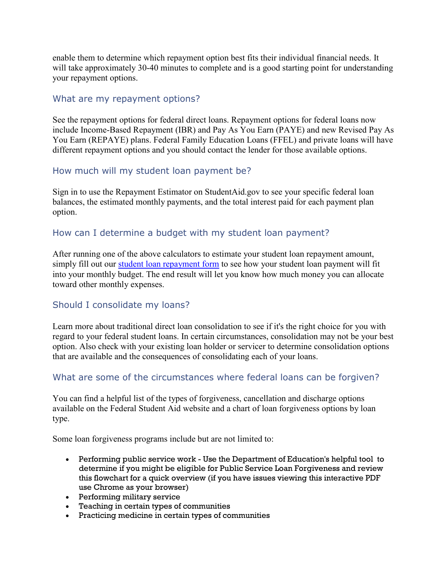enable them to determine which repayment option best fits their individual financial needs. It will take approximately 30-40 minutes to complete and is a good starting point for understanding your repayment options.

## What are my repayment options?

See the repayment options for federal direct loans. Repayment options for federal loans now include Income-Based Repayment (IBR) and Pay As You Earn (PAYE) and new Revised Pay As You Earn (REPAYE) plans. Federal Family Education Loans (FFEL) and private loans will have different repayment options and you should contact the lender for those available options.

## How much will my student loan payment be?

Sign in to use the Repayment Estimator on StudentAid.gov to see your specific federal loan balances, the estimated monthly payments, and the total interest paid for each payment plan option.

## How can I determine a budget with my student loan payment?

After running one of the above calculators to estimate your student loan repayment amount, simply fill out our student loan repayment form to see how your student loan payment will fit into your monthly budget. The end result will let you know how much money you can allocate toward other monthly expenses.

# Should I consolidate my loans?

Learn more about traditional direct loan consolidation to see if it's the right choice for you with regard to your federal student loans. In certain circumstances, consolidation may not be your best option. Also check with your existing loan holder or servicer to determine consolidation options that are available and the consequences of consolidating each of your loans.

## What are some of the circumstances where federal loans can be forgiven?

You can find a helpful list of the types of forgiveness, cancellation and discharge options available on the Federal Student Aid website and a chart of loan forgiveness options by loan type.

Some loan forgiveness programs include but are not limited to:

- Performing public service work Use the Department of Education's helpful tool to determine if you might be eligible for Public Service Loan Forgiveness and review this flowchart for a quick overview (if you have issues viewing this interactive PDF use Chrome as your browser)
- Performing military service
- Teaching in certain types of communities
- Practicing medicine in certain types of communities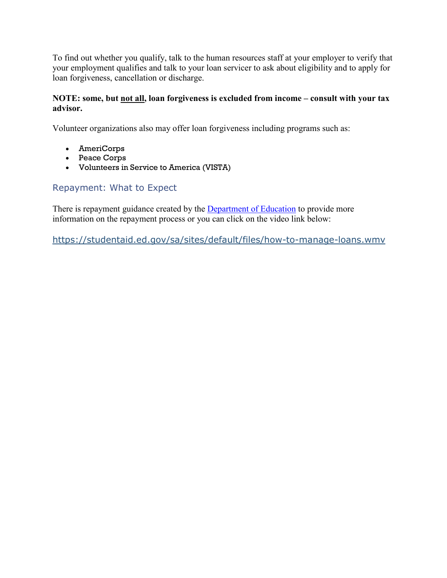To find out whether you qualify, talk to the human resources staff at your employer to verify that your employment qualifies and talk to your loan servicer to ask about eligibility and to apply for loan forgiveness, cancellation or discharge.

#### **NOTE: some, but not all, loan forgiveness is excluded from income – consult with your tax advisor.**

Volunteer organizations also may offer loan forgiveness including programs such as:

- AmeriCorps
- Peace Corps
- Volunteers in Service to America (VISTA)

# Repayment: What to Expect

There is repayment guidance created by the **Department** of Education to provide more information on the repayment process or you can click on the video link below:

<https://studentaid.ed.gov/sa/sites/default/files/how-to-manage-loans.wmv>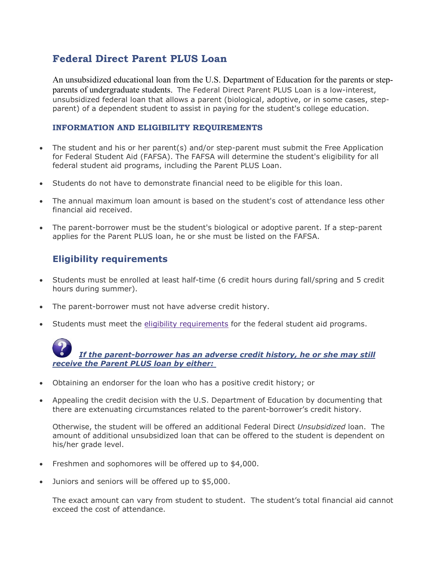# **Federal Direct Parent PLUS Loan**

An unsubsidized educational loan from the U.S. Department of Education for the parents or stepparents of undergraduate students. The Federal Direct Parent PLUS Loan is a low-interest, unsubsidized federal loan that allows a parent (biological, adoptive, or in some cases, stepparent) of a dependent student to assist in paying for the student's college education.

#### <span id="page-18-0"></span>**INFORMATION AND ELIGIBILITY REQUIREMENTS**

- The student and his or her parent(s) and/or step-parent must submit the Free Application for Federal Student Aid (FAFSA). The FAFSA will determine the student's eligibility for all federal student aid programs, including the Parent PLUS Loan.
- Students do not have to demonstrate financial need to be eligible for this loan.
- The annual maximum loan amount is based on the student's cost of attendance less other financial aid received.
- The parent-borrower must be the student's biological or adoptive parent. If a step-parent applies for the Parent PLUS loan, he or she must be listed on the FAFSA.

## **Eligibility requirements**

- Students must be enrolled at least half-time (6 credit hours during fall/spring and 5 credit hours during summer).
- The parent-borrower must not have adverse credit history.
- Students must meet the [eligibility requirements](https://www.k-state.edu/sfa/about/policies/eligibility.html) for the federal student aid programs.

- Obtaining an endorser for the loan who has a positive credit history; or
- Appealing the credit decision with the U.S. Department of Education by documenting that there are extenuating circumstances related to the parent-borrower's credit history.

Otherwise, the student will be offered an additional Federal Direct *Unsubsidized* loan. The amount of additional unsubsidized loan that can be offered to the student is dependent on his/her grade level.

- Freshmen and sophomores will be offered up to \$4,000.
- Juniors and seniors will be offered up to \$5,000.

The exact amount can vary from student to student. The student's total financial aid cannot exceed the cost of attendance.

*If the parent-borrower has an adverse credit history, he or she may still receive the Parent PLUS loan by either:*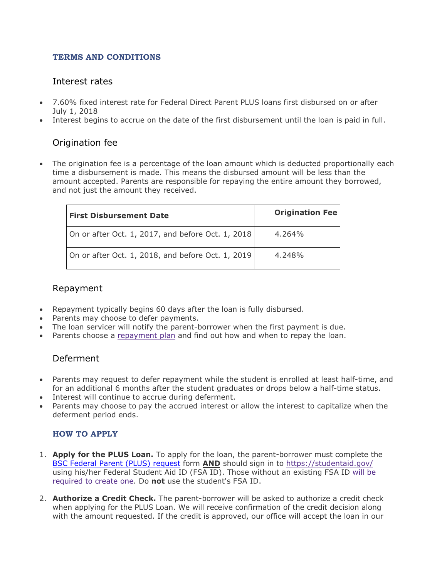#### **TERMS AND CONDITIONS**

## Interest rates

- 7.60% fixed interest rate for Federal Direct Parent PLUS loans first disbursed on or after July 1, 2018
- Interest begins to accrue on the date of the first disbursement until the loan is paid in full.

## Origination fee

The origination fee is a percentage of the loan amount which is deducted proportionally each time a disbursement is made. This means the disbursed amount will be less than the amount accepted. Parents are responsible for repaying the entire amount they borrowed, and not just the amount they received.

| <b>First Disbursement Date</b>                    | <b>Origination Fee</b> |
|---------------------------------------------------|------------------------|
| On or after Oct. 1, 2017, and before Oct. 1, 2018 | $4.264\%$              |
| On or after Oct. 1, 2018, and before Oct. 1, 2019 | 4.248%                 |

## Repayment

- Repayment typically begins 60 days after the loan is fully disbursed.
- Parents may choose to defer payments.
- The loan servicer will notify the parent-borrower when the first payment is due.
- Parents choose a [repayment plan](http://studentaid.ed.gov/repay-loans/understand/plans/standard/comparison-calculator) and find out how and when to repay the loan.

## Deferment

- Parents may request to defer repayment while the student is enrolled at least half-time, and for an additional 6 months after the student graduates or drops below a half-time status.
- Interest will continue to accrue during deferment.
- Parents may choose to pay the accrued interest or allow the interest to capitalize when the deferment period ends.

## **HOW TO APPLY**

- 1. **Apply for the PLUS Loan.** To apply for the loan, the parent-borrower must complete the BSC Federal Parent (PLUS) [request](https://bluefieldstate.edu/tuition/financial-aid) form **AND** should sign in to [https://studentaid.gov/](https://studentaid.gov/myDirectLoan/launchPLUS.action?plusType=parentPlus) using his/her Federal Student Aid ID (FSA ID). Those without an existing FSA ID [will](https://fsaid.ed.gov/npas/index.htm) be [required](https://fsaid.ed.gov/npas/index.htm) to create one. Do **not** use the student's FSA ID.
- 2. **Authorize a Credit Check.** The parent-borrower will be asked to authorize a credit check when applying for the PLUS Loan. We will receive confirmation of the credit decision along with the amount requested. If the credit is approved, our office will accept the loan in our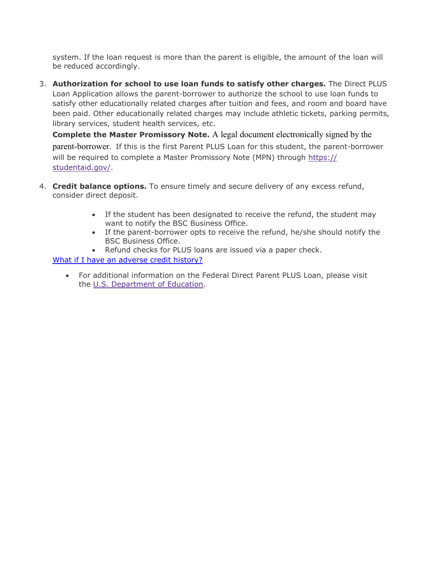system. If the loan request is more than the parent is eligible, the amount of the loan will be reduced accordingly.

3. **Authorization for school to use loan funds to satisfy other charges.** The Direct PLUS Loan Application allows the parent-borrower to authorize the school to use loan funds to satisfy other educationally related charges after tuition and fees, and room and board have been paid. Other educationally related charges may include athletic tickets, parking permits, library services, student health services, etc.

**Complete the Master Promissory Note.** A legal document electronically signed by the parent-borrower. If this is the first Parent PLUS Loan for this student, the parent-borrower will be required to complete a Master Promissory Note (MPN) through [https://](https://studentloans.gov/myDirectLoan/launchMpn.action?mpnType=parentPlusMpn) [studentaid.gov/](https://studentaid.gov/).

- 4. **Credit balance options.** To ensure timely and secure delivery of any excess refund, consider direct deposit.
	- If the student has been designated to receive the refund, the student may want to notify the BSC Business Office.
	- If the parent-borrower opts to receive the refund, he/she should notify the BSC Business Office.
	- Refund checks for PLUS loans are issued via a paper check.

[What if I have an adverse credit history?](#page-18-0)

• For additional information on the Federal Direct Parent PLUS Loan, please visit the [U.S. Department of Education.](http://studentaid.ed.gov/types/loans/plus)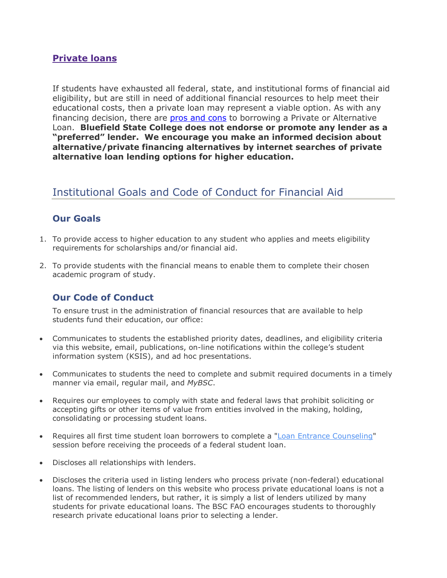## **Private loans**

If students have exhausted all federal, state, and institutional forms of financial aid eligibility, but are still in need of additional financial resources to help meet their educational costs, then a private loan may represent a viable option. As with any financing decision, there are [pros and cons](https://studentaid.ed.gov/sa/types/loans/federal-vs-private) to borrowing a Private or Alternative Loan. **Bluefield State College does not endorse or promote any lender as a "preferred" lender. We encourage you make an informed decision about alternative/private financing alternatives by internet searches of private alternative loan lending options for higher education.** 

# Institutional Goals and Code of Conduct for Financial Aid

# **Our Goals**

- 1. To provide access to higher education to any student who applies and meets eligibility requirements for scholarships and/or financial aid.
- 2. To provide students with the financial means to enable them to complete their chosen academic program of study.

# **Our Code of Conduct**

To ensure trust in the administration of financial resources that are available to help students fund their education, our office:

- Communicates to students the established priority dates, deadlines, and eligibility criteria via this website, email, publications, on-line notifications within the college's student information system (KSIS), and ad hoc presentations.
- Communicates to students the need to complete and submit required documents in a timely manner via email, regular mail, and *MyBSC*.
- Requires our employees to comply with state and federal laws that prohibit soliciting or accepting gifts or other items of value from entities involved in the making, holding, consolidating or processing student loans.
- Requires all first time student loan borrowers to complete a ["Loan Entrance Counseling"](https://www.studentloans.gov/) session before receiving the proceeds of a federal student loan.
- Discloses all relationships with lenders.
- Discloses the criteria used in listing lenders who process private (non-federal) educational loans. The listing of lenders on this website who process private educational loans is not a list of recommended lenders, but rather, it is simply a list of lenders utilized by many students for private educational loans. The BSC FAO encourages students to thoroughly research private educational loans prior to selecting a lender.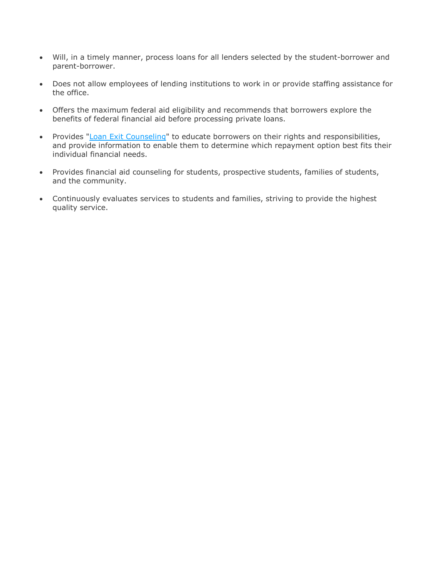- Will, in a timely manner, process loans for all lenders selected by the student-borrower and parent-borrower.
- Does not allow employees of lending institutions to work in or provide staffing assistance for the office.
- Offers the maximum federal aid eligibility and recommends that borrowers explore the benefits of federal financial aid before processing private loans.
- Provides ["Loan Exit Counseling"](https://www.studentloans.gov/) to educate borrowers on their rights and responsibilities, and provide information to enable them to determine which repayment option best fits their individual financial needs.
- Provides financial aid counseling for students, prospective students, families of students, and the community.
- Continuously evaluates services to students and families, striving to provide the highest quality service.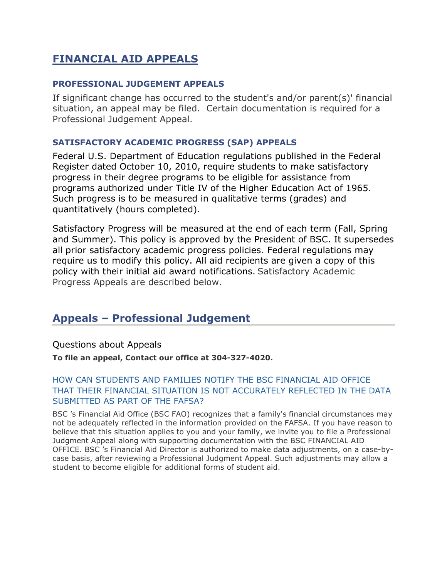# **FINANCIAL AID APPEALS**

### **PROFESSIONAL JUDGEMENT APPEALS**

If significant change has occurred to the student's and/or parent(s)' financial situation, an appeal may be filed. Certain documentation is required for a Professional Judgement Appeal.

## **SATISFACTORY ACADEMIC PROGRESS (SAP) APPEALS**

Federal U.S. Department of Education regulations published in the Federal Register dated October 10, 2010, require students to make satisfactory progress in their degree programs to be eligible for assistance from programs authorized under Title IV of the Higher Education Act of 1965. Such progress is to be measured in qualitative terms (grades) and quantitatively (hours completed).

Satisfactory Progress will be measured at the end of each term (Fall, Spring and Summer). This policy is approved by the President of BSC. It supersedes all prior satisfactory academic progress policies. Federal regulations may require us to modify this policy. All aid recipients are given a copy of this policy with their initial aid award notifications. Satisfactory Academic Progress Appeals are described below.

# **Appeals – Professional Judgement**

## Questions about Appeals

**To file an appeal, Contact our office at 304-327-4020.**

## HOW CAN STUDENTS AND FAMILIES NOTIFY THE BSC FINANCIAL AID OFFICE THAT THEIR FINANCIAL SITUATION IS NOT ACCURATELY REFLECTED IN THE DATA SUBMITTED AS PART OF THE FAFSA?

BSC 's Financial Aid Office (BSC FAO) recognizes that a family's financial circumstances may not be adequately reflected in the information provided on the FAFSA. If you have reason to believe that this situation applies to you and your family, we invite you to file a Professional Judgment Appeal along with supporting documentation with the BSC FINANCIAL AID OFFICE. BSC 's Financial Aid Director is authorized to make data adjustments, on a case-bycase basis, after reviewing a Professional Judgment Appeal. Such adjustments may allow a student to become eligible for additional forms of student aid.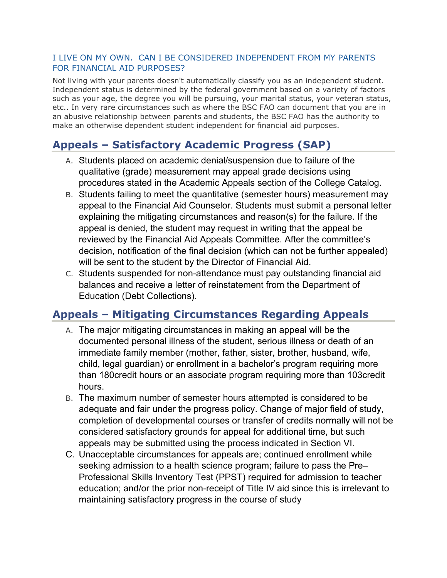### I LIVE ON MY OWN. CAN I BE CONSIDERED INDEPENDENT FROM MY PARENTS FOR FINANCIAL AID PURPOSES?

Not living with your parents doesn't automatically classify you as an independent student. Independent status is determined by the federal government based on a variety of factors such as your age, the degree you will be pursuing, your marital status, your veteran status, etc.. In very rare circumstances such as where the BSC FAO can document that you are in an abusive relationship between parents and students, the BSC FAO has the authority to make an otherwise dependent student independent for financial aid purposes.

# **Appeals – Satisfactory Academic Progress (SAP)**

- A. Students placed on academic denial/suspension due to failure of the qualitative (grade) measurement may appeal grade decisions using procedures stated in the Academic Appeals section of the College Catalog.
- B. Students failing to meet the quantitative (semester hours) measurement may appeal to the Financial Aid Counselor. Students must submit a personal letter explaining the mitigating circumstances and reason(s) for the failure. If the appeal is denied, the student may request in writing that the appeal be reviewed by the Financial Aid Appeals Committee. After the committee's decision, notification of the final decision (which can not be further appealed) will be sent to the student by the Director of Financial Aid.
- C. Students suspended for non-attendance must pay outstanding financial aid balances and receive a letter of reinstatement from the Department of Education (Debt Collections).

# **Appeals – Mitigating Circumstances Regarding Appeals**

- A. The major mitigating circumstances in making an appeal will be the documented personal illness of the student, serious illness or death of an immediate family member (mother, father, sister, brother, husband, wife, child, legal guardian) or enrollment in a bachelor's program requiring more than 180credit hours or an associate program requiring more than 103credit hours.
- B. The maximum number of semester hours attempted is considered to be adequate and fair under the progress policy. Change of major field of study, completion of developmental courses or transfer of credits normally will not be considered satisfactory grounds for appeal for additional time, but such appeals may be submitted using the process indicated in Section VI.
- C. Unacceptable circumstances for appeals are; continued enrollment while seeking admission to a health science program; failure to pass the Pre– Professional Skills Inventory Test (PPST) required for admission to teacher education; and/or the prior non-receipt of Title IV aid since this is irrelevant to maintaining satisfactory progress in the course of study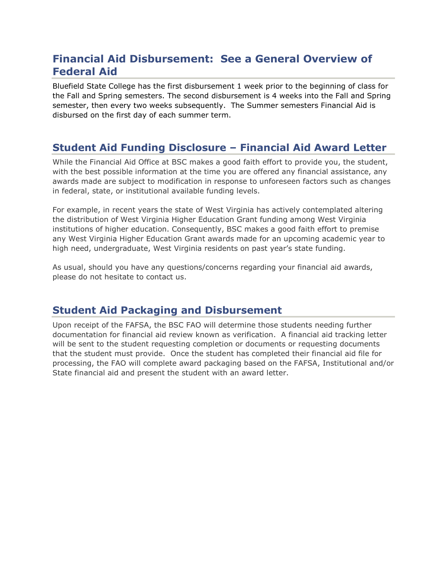# **Financial Aid Disbursement: See a General Overview of Federal Aid**

Bluefield State College has the first disbursement 1 week prior to the beginning of class for the Fall and Spring semesters. The second disbursement is 4 weeks into the Fall and Spring semester, then every two weeks subsequently. The Summer semesters Financial Aid is disbursed on the first day of each summer term.

# **Student Aid Funding Disclosure – Financial Aid Award Letter**

While the Financial Aid Office at BSC makes a good faith effort to provide you, the student, with the best possible information at the time you are offered any financial assistance, any awards made are subject to modification in response to unforeseen factors such as changes in federal, state, or institutional available funding levels.

For example, in recent years the state of West Virginia has actively contemplated altering the distribution of West Virginia Higher Education Grant funding among West Virginia institutions of higher education. Consequently, BSC makes a good faith effort to premise any West Virginia Higher Education Grant awards made for an upcoming academic year to high need, undergraduate, West Virginia residents on past year's state funding.

As usual, should you have any questions/concerns regarding your financial aid awards, please do not hesitate to contact us.

# **Student Aid Packaging and Disbursement**

Upon receipt of the FAFSA, the BSC FAO will determine those students needing further documentation for financial aid review known as verification. A financial aid tracking letter will be sent to the student requesting completion or documents or requesting documents that the student must provide. Once the student has completed their financial aid file for processing, the FAO will complete award packaging based on the FAFSA, Institutional and/or State financial aid and present the student with an award letter.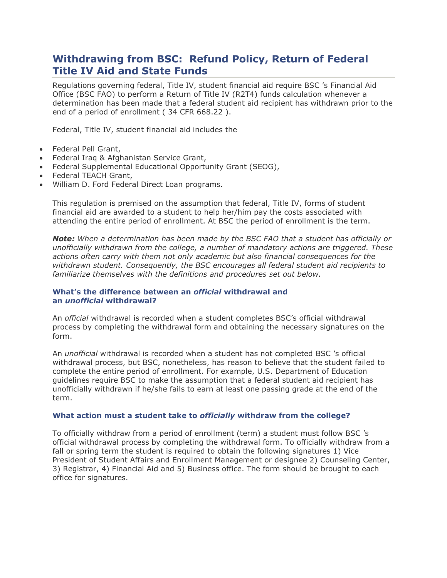# **Withdrawing from BSC: Refund Policy, Return of Federal Title IV Aid and State Funds**

Regulations governing federal, Title IV, student financial aid require BSC 's Financial Aid Office (BSC FAO) to perform a Return of Title IV (R2T4) funds calculation whenever a determination has been made that a federal student aid recipient has withdrawn prior to the end of a period of enrollment ( 34 CFR 668.22 ).

Federal, Title IV, student financial aid includes the

- Federal Pell Grant,
- Federal Iraq & Afghanistan Service Grant,
- Federal Supplemental Educational Opportunity Grant (SEOG),
- Federal TEACH Grant,
- William D. Ford Federal Direct Loan programs.

This regulation is premised on the assumption that federal, Title IV, forms of student financial aid are awarded to a student to help her/him pay the costs associated with attending the entire period of enrollment. At BSC the period of enrollment is the term.

*Note: When a determination has been made by the BSC FAO that a student has officially or unofficially withdrawn from the college, a number of mandatory actions are triggered. These actions often carry with them not only academic but also financial consequences for the withdrawn student. Consequently, the BSC encourages all federal student aid recipients to familiarize themselves with the definitions and procedures set out below.*

#### **What's the difference between an** *official* **withdrawal and an** *unofficial* **withdrawal?**

An *official* withdrawal is recorded when a student completes BSC's official withdrawal process by completing the withdrawal form and obtaining the necessary signatures on the form.

An *unofficial* withdrawal is recorded when a student has not completed BSC 's official withdrawal process, but BSC, nonetheless, has reason to believe that the student failed to complete the entire period of enrollment. For example, U.S. Department of Education guidelines require BSC to make the assumption that a federal student aid recipient has unofficially withdrawn if he/she fails to earn at least one passing grade at the end of the term.

#### **What action must a student take to** *officially* **withdraw from the college?**

To officially withdraw from a period of enrollment (term) a student must follow BSC 's official withdrawal process by completing the withdrawal form. To officially withdraw from a fall or spring term the student is required to obtain the following signatures 1) Vice President of Student Affairs and Enrollment Management or designee 2) Counseling Center, 3) Registrar, 4) Financial Aid and 5) Business office. The form should be brought to each office for signatures.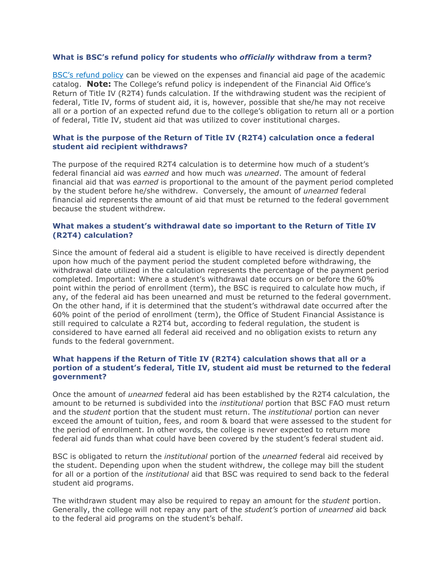#### **What is BSC's refund policy for students who** *officially* **withdraw from a term?**

[BSC's refund policy](https://catalog.bluefieldstate.edu/content.php?catoid=2&navoid=69#refund-of-fees) can be viewed on the expenses and financial aid page of the academic catalog. **Note:** The College's refund policy is independent of the Financial Aid Office's Return of Title IV (R2T4) funds calculation. If the withdrawing student was the recipient of federal, Title IV, forms of student aid, it is, however, possible that she/he may not receive all or a portion of an expected refund due to the college's obligation to return all or a portion of federal, Title IV, student aid that was utilized to cover institutional charges.

#### **What is the purpose of the Return of Title IV (R2T4) calculation once a federal student aid recipient withdraws?**

The purpose of the required R2T4 calculation is to determine how much of a student's federal financial aid was *earned* and how much was *unearned*. The amount of federal financial aid that was *earned* is proportional to the amount of the payment period completed by the student before he/she withdrew. Conversely, the amount of *unearned* federal financial aid represents the amount of aid that must be returned to the federal government because the student withdrew.

#### **What makes a student's withdrawal date so important to the Return of Title IV (R2T4) calculation?**

Since the amount of federal aid a student is eligible to have received is directly dependent upon how much of the payment period the student completed before withdrawing, the withdrawal date utilized in the calculation represents the percentage of the payment period completed. Important: Where a student's withdrawal date occurs on or before the 60% point within the period of enrollment (term), the BSC is required to calculate how much, if any, of the federal aid has been unearned and must be returned to the federal government. On the other hand, if it is determined that the student's withdrawal date occurred after the 60% point of the period of enrollment (term), the Office of Student Financial Assistance is still required to calculate a R2T4 but, according to federal regulation, the student is considered to have earned all federal aid received and no obligation exists to return any funds to the federal government.

#### **What happens if the Return of Title IV (R2T4) calculation shows that all or a portion of a student's federal, Title IV, student aid must be returned to the federal government?**

Once the amount of *unearned* federal aid has been established by the R2T4 calculation, the amount to be returned is subdivided into the *institutional* portion that BSC FAO must return and the *student* portion that the student must return. The *institutional* portion can never exceed the amount of tuition, fees, and room & board that were assessed to the student for the period of enrollment. In other words, the college is never expected to return more federal aid funds than what could have been covered by the student's federal student aid.

BSC is obligated to return the *institutional* portion of the *unearned* federal aid received by the student. Depending upon when the student withdrew, the college may bill the student for all or a portion of the *institutional* aid that BSC was required to send back to the federal student aid programs.

The withdrawn student may also be required to repay an amount for the *student* portion. Generally, the college will not repay any part of the *student's* portion of *unearned* aid back to the federal aid programs on the student's behalf.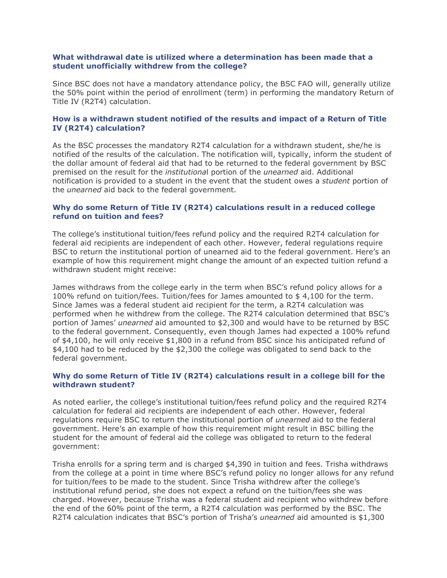#### **What withdrawal date is utilized where a determination has been made that a student unofficially withdrew from the college?**

Since BSC does not have a mandatory attendance policy, the BSC FAO will, generally utilize the 50% point within the period of enrollment (term) in performing the mandatory Return of Title IV (R2T4) calculation.

#### **How is a withdrawn student notified of the results and impact of a Return of Title IV (R2T4) calculation?**

As the BSC processes the mandatory R2T4 calculation for a withdrawn student, she/he is notified of the results of the calculation. The notification will, typically, inform the student of the dollar amount of federal aid that had to be returned to the federal government by BSC premised on the result for the *institutiona*l portion of the *unearned* aid. Additional notification is provided to a student in the event that the student owes a *student* portion of the *unearned* aid back to the federal government.

#### **Why do some Return of Title IV (R2T4) calculations result in a reduced college refund on tuition and fees?**

The college's institutional tuition/fees refund policy and the required R2T4 calculation for federal aid recipients are independent of each other. However, federal regulations require BSC to return the institutional portion of unearned aid to the federal government. Here's an example of how this requirement might change the amount of an expected tuition refund a withdrawn student might receive:

James withdraws from the college early in the term when BSC's refund policy allows for a 100% refund on tuition/fees. Tuition/fees for James amounted to \$ 4,100 for the term. Since James was a federal student aid recipient for the term, a R2T4 calculation was performed when he withdrew from the college. The R2T4 calculation determined that BSC's portion of James' *unearned* aid amounted to \$2,300 and would have to be returned by BSC to the federal government. Consequently, even though James had expected a 100% refund of \$4,100, he will only receive \$1,800 in a refund from BSC since his anticipated refund of \$4,100 had to be reduced by the \$2,300 the college was obligated to send back to the federal government.

#### **Why do some Return of Title IV (R2T4) calculations result in a college bill for the withdrawn student?**

As noted earlier, the college's institutional tuition/fees refund policy and the required R2T4 calculation for federal aid recipients are independent of each other. However, federal regulations require BSC to return the institutional portion of *unearned* aid to the federal government. Here's an example of how this requirement might result in BSC billing the student for the amount of federal aid the college was obligated to return to the federal government:

Trisha enrolls for a spring term and is charged \$4,390 in tuition and fees. Trisha withdraws from the college at a point in time where BSC's refund policy no longer allows for any refund for tuition/fees to be made to the student. Since Trisha withdrew after the college's institutional refund period, she does not expect a refund on the tuition/fees she was charged. However, because Trisha was a federal student aid recipient who withdrew before the end of the 60% point of the term, a R2T4 calculation was performed by the BSC. The R2T4 calculation indicates that BSC's portion of Trisha's *unearned* aid amounted is \$1,300